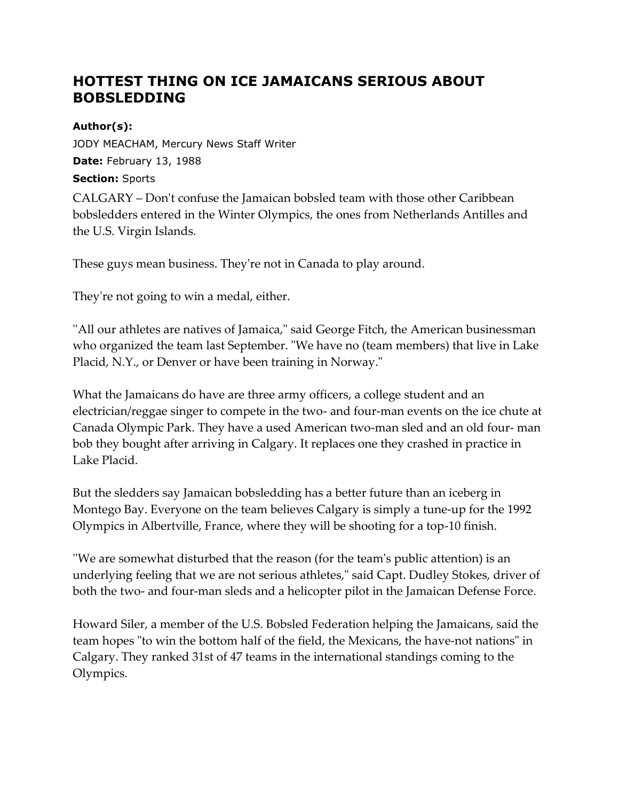## **HOTTEST THING ON ICE JAMAICANS SERIOUS ABOUT BOBSLEDDING**

## **Author(s):**

JODY MEACHAM, Mercury News Staff Writer **Date:** February 13, 1988 **Section:** Sports

CALGARY – Don't confuse the Jamaican bobsled team with those other Caribbean bobsledders entered in the Winter Olympics, the ones from Netherlands Antilles and the U.S. Virgin Islands.

These guys mean business. They're not in Canada to play around.

They're not going to win a medal, either.

''All our athletes are natives of Jamaica," said George Fitch, the American businessman who organized the team last September. "We have no (team members) that live in Lake Placid, N.Y., or Denver or have been training in Norway."

What the Jamaicans do have are three army officers, a college student and an electrician/reggae singer to compete in the two- and four-man events on the ice chute at Canada Olympic Park. They have a used American two-man sled and an old four- man bob they bought after arriving in Calgary. It replaces one they crashed in practice in Lake Placid.

But the sledders say Jamaican bobsledding has a better future than an iceberg in Montego Bay. Everyone on the team believes Calgary is simply a tune-up for the 1992 Olympics in Albertville, France, where they will be shooting for a top-10 finish.

''We are somewhat disturbed that the reason (for the team's public attention) is an underlying feeling that we are not serious athletes," said Capt. Dudley Stokes, driver of both the two- and four-man sleds and a helicopter pilot in the Jamaican Defense Force.

Howard Siler, a member of the U.S. Bobsled Federation helping the Jamaicans, said the team hopes "to win the bottom half of the field, the Mexicans, the have-not nations" in Calgary. They ranked 31st of 47 teams in the international standings coming to the Olympics.